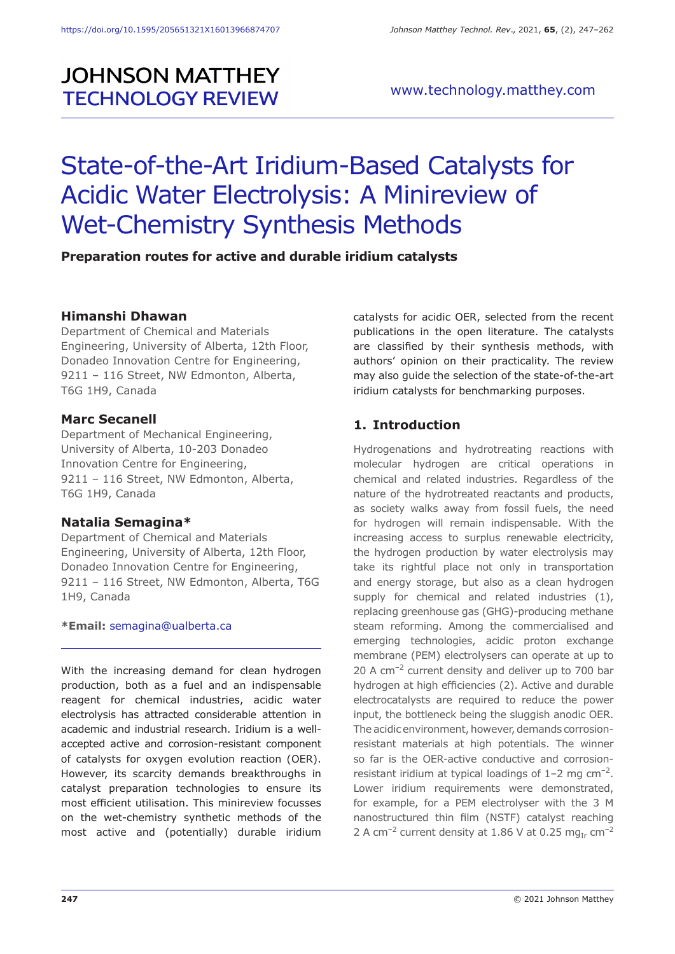# **JOHNSON MATTHEY TECHNOLOGY REVIEW**

# State-of-the-Art Iridium-Based Catalysts for Acidic Water Electrolysis: A Minireview of Wet-Chemistry Synthesis Methods

#### **Preparation routes for active and durable iridium catalysts**

#### **Himanshi Dhawan**

Department of Chemical and Materials Engineering, University of Alberta, 12th Floor, Donadeo Innovation Centre for Engineering, 9211 – 116 Street, NW Edmonton, Alberta, T6G 1H9, Canada

#### **Marc Secanell**

Department of Mechanical Engineering, University of Alberta, 10-203 Donadeo Innovation Centre for Engineering, 9211 – 116 Street, NW Edmonton, Alberta, T6G 1H9, Canada

#### **Natalia Semagina\***

Department of Chemical and Materials Engineering, University of Alberta, 12th Floor, Donadeo Innovation Centre for Engineering, 9211 – 116 Street, NW Edmonton, Alberta, T6G 1H9, Canada

#### **\*Email:** semagina@ualberta.ca

With the increasing demand for clean hydrogen production, both as a fuel and an indispensable reagent for chemical industries, acidic water electrolysis has attracted considerable attention in academic and industrial research. Iridium is a wellaccepted active and corrosion-resistant component of catalysts for oxygen evolution reaction (OER). However, its scarcity demands breakthroughs in catalyst preparation technologies to ensure its most efficient utilisation. This minireview focusses on the wet-chemistry synthetic methods of the most active and (potentially) durable iridium catalysts for acidic OER, selected from the recent publications in the open literature. The catalysts are classified by their synthesis methods, with authors' opinion on their practicality. The review may also guide the selection of the state-of-the-art iridium catalysts for benchmarking purposes.

#### **1. Introduction**

Hydrogenations and hydrotreating reactions with molecular hydrogen are critical operations in chemical and related industries. Regardless of the nature of the hydrotreated reactants and products, as society walks away from fossil fuels, the need for hydrogen will remain indispensable. With the increasing access to surplus renewable electricity, the hydrogen production by water electrolysis may take its rightful place not only in transportation and energy storage, but also as a clean hydrogen supply for chemical and related industries (1), replacing greenhouse gas (GHG)-producing methane steam reforming. Among the commercialised and emerging technologies, acidic proton exchange membrane (PEM) electrolysers can operate at up to 20 A cm<sup>-2</sup> current density and deliver up to 700 bar hydrogen at high efficiencies (2). Active and durable electrocatalysts are required to reduce the power input, the bottleneck being the sluggish anodic OER. The acidic environment, however, demands corrosionresistant materials at high potentials. The winner so far is the OER-active conductive and corrosionresistant iridium at typical loadings of  $1-2$  mg cm<sup>-2</sup>. Lower iridium requirements were demonstrated, for example, for a PEM electrolyser with the 3 M nanostructured thin film (NSTF) catalyst reaching 2 A cm<sup>-2</sup> current density at 1.86 V at 0.25 mg<sub>Ir</sub> cm<sup>-2</sup>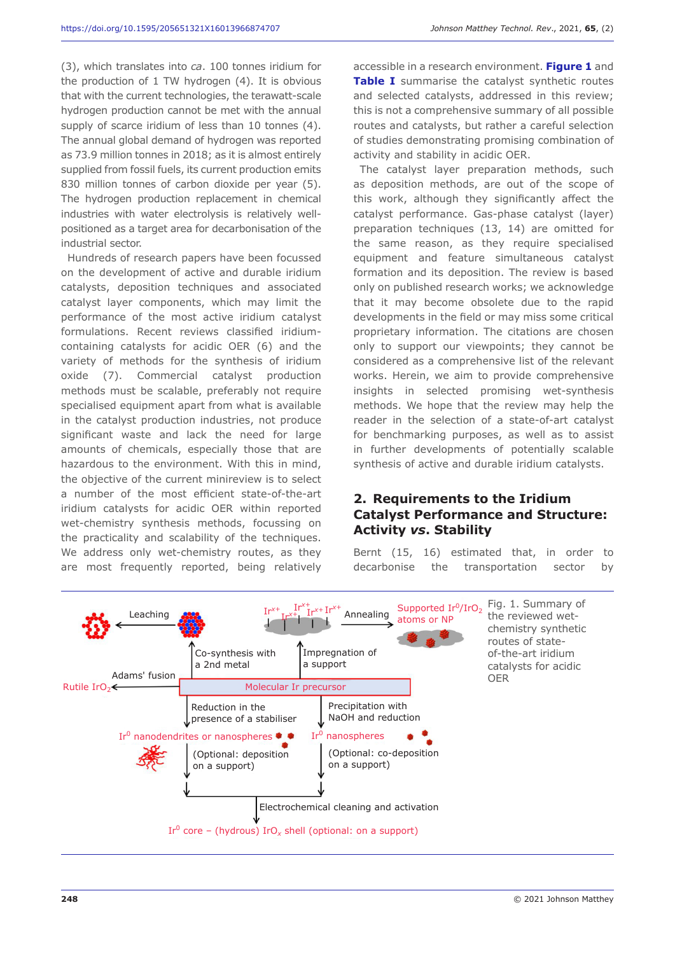(3), which translates into *ca*. 100 tonnes iridium for the production of 1 TW hydrogen (4). It is obvious that with the current technologies, the terawatt-scale hydrogen production cannot be met with the annual supply of scarce iridium of less than 10 tonnes (4). The annual global demand of hydrogen was reported as 73.9 million tonnes in 2018; as it is almost entirely supplied from fossil fuels, its current production emits 830 million tonnes of carbon dioxide per year (5). The hydrogen production replacement in chemical industries with water electrolysis is relatively wellpositioned as a target area for decarbonisation of the industrial sector.

Hundreds of research papers have been focussed on the development of active and durable iridium catalysts, deposition techniques and associated catalyst layer components, which may limit the performance of the most active iridium catalyst formulations. Recent reviews classified iridiumcontaining catalysts for acidic OER (6) and the variety of methods for the synthesis of iridium oxide (7). Commercial catalyst production methods must be scalable, preferably not require specialised equipment apart from what is available in the catalyst production industries, not produce significant waste and lack the need for large amounts of chemicals, especially those that are hazardous to the environment. With this in mind, the objective of the current minireview is to select a number of the most efficient state-of-the-art iridium catalysts for acidic OER within reported wet-chemistry synthesis methods, focussing on the practicality and scalability of the techniques. We address only wet-chemistry routes, as they are most frequently reported, being relatively accessible in a research environment. **Figure 1** and **Table I** summarise the catalyst synthetic routes and selected catalysts, addressed in this review; this is not a comprehensive summary of all possible routes and catalysts, but rather a careful selection of studies demonstrating promising combination of activity and stability in acidic OER.

The catalyst layer preparation methods, such as deposition methods, are out of the scope of this work, although they significantly affect the catalyst performance. Gas-phase catalyst (layer) preparation techniques (13, 14) are omitted for the same reason, as they require specialised equipment and feature simultaneous catalyst formation and its deposition. The review is based only on published research works; we acknowledge that it may become obsolete due to the rapid developments in the field or may miss some critical proprietary information. The citations are chosen only to support our viewpoints; they cannot be considered as a comprehensive list of the relevant works. Herein, we aim to provide comprehensive insights in selected promising wet-synthesis methods. We hope that the review may help the reader in the selection of a state-of-art catalyst for benchmarking purposes, as well as to assist in further developments of potentially scalable synthesis of active and durable iridium catalysts.

### **2. Requirements to the Iridium Catalyst Performance and Structure: Activity** *vs***. Stability**

Bernt (15, 16) estimated that, in order to decarbonise the transportation sector by

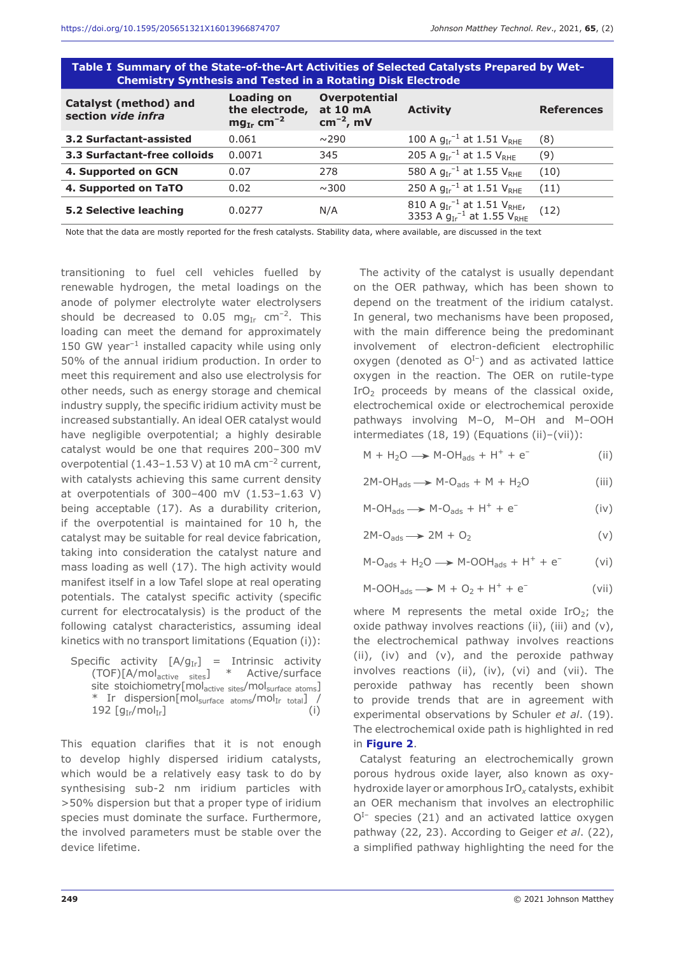| Table I Summary of the State-of-the-Art Activities of Selected Catalysts Prepared by Wet-<br><b>Chemistry Synthesis and Tested in a Rotating Disk Electrode</b> |                                                            |                                                    |                                                                                                 |                   |
|-----------------------------------------------------------------------------------------------------------------------------------------------------------------|------------------------------------------------------------|----------------------------------------------------|-------------------------------------------------------------------------------------------------|-------------------|
| <b>Catalyst (method) and</b><br>section vide infra                                                                                                              | Loading on<br>the electrode,<br>$mg_{Ir}$ cm <sup>-2</sup> | <b>Overpotential</b><br>at 10 mA<br>$cm^{-2}$ , mV | <b>Activity</b>                                                                                 | <b>References</b> |
| 3.2 Surfactant-assisted                                                                                                                                         | 0.061                                                      | $\sim$ 290                                         | 100 A $g_{Ir}^{-1}$ at 1.51 $V_{RHE}$                                                           | (8)               |
| <b>3.3 Surfactant-free colloids</b>                                                                                                                             | 0.0071                                                     | 345                                                | 205 A $q_{Ir}^{-1}$ at 1.5 $V_{RHF}$                                                            | (9)               |
| 4. Supported on GCN                                                                                                                                             | 0.07                                                       | 278                                                | 580 A $q_{Ir}^{-1}$ at 1.55 $V_{RHF}$                                                           | (10)              |
| 4. Supported on TaTO                                                                                                                                            | 0.02                                                       | $\sim$ 300                                         | 250 A $q_{Ir}^{-1}$ at 1.51 $V_{RHF}$                                                           | (11)              |
| 5.2 Selective leaching                                                                                                                                          | 0.0277                                                     | N/A                                                | 810 A $g_{Ir}^{-1}$ at 1.51 V <sub>RHE</sub> ,<br>3353 A $g_{Ir}^{-1}$ at 1.55 V <sub>RHE</sub> | (12)              |

Note that the data are mostly reported for the fresh catalysts. Stability data, where available, are discussed in the text

transitioning to fuel cell vehicles fuelled by renewable hydrogen, the metal loadings on the anode of polymer electrolyte water electrolysers should be decreased to 0.05 mg<sub>Ir</sub> cm<sup>-2</sup>. This loading can meet the demand for approximately 150 GW year $^{-1}$  installed capacity while using only 50% of the annual iridium production. In order to meet this requirement and also use electrolysis for other needs, such as energy storage and chemical industry supply, the specific iridium activity must be increased substantially. An ideal OER catalyst would have negligible overpotential; a highly desirable catalyst would be one that requires 200–300 mV overpotential (1.43–1.53 V) at 10 mA  $cm^{-2}$  current, with catalysts achieving this same current density at overpotentials of 300–400 mV (1.53–1.63 V) being acceptable (17). As a durability criterion, if the overpotential is maintained for 10 h, the catalyst may be suitable for real device fabrication, taking into consideration the catalyst nature and mass loading as well (17). The high activity would manifest itself in a low Tafel slope at real operating potentials. The catalyst specific activity (specific current for electrocatalysis) is the product of the following catalyst characteristics, assuming ideal kinetics with no transport limitations (Equation (i)):

Specific activity  $[A/g_{Ir}]$  = Intrinsic activity (TOF)[A/mol<sub>active sites</sub>] \* Active/surface site stoichiometry[mol<sub>active sites</sub>/mol<sub>surface atoms</sub>] \* Ir dispersion[mol<sub>surface atoms</sub>/mol<sub>Ir total</sub>] /<br>192 [q<sub>tr</sub>/mol<sub>Ir</sub>] (j) 192  $[g_{Ir}/mol_{Ir}]$ 

This equation clarifies that it is not enough to develop highly dispersed iridium catalysts, which would be a relatively easy task to do by synthesising sub-2 nm iridium particles with >50% dispersion but that a proper type of iridium species must dominate the surface. Furthermore, the involved parameters must be stable over the device lifetime.

The activity of the catalyst is usually dependant on the OER pathway, which has been shown to depend on the treatment of the iridium catalyst. In general, two mechanisms have been proposed, with the main difference being the predominant involvement of electron-deficient electrophilic oxygen (denoted as  $O<sup>I-</sup>$ ) and as activated lattice oxygen in the reaction. The OER on rutile-type IrO<sub>2</sub> proceeds by means of the classical oxide, electrochemical oxide or electrochemical peroxide pathways involving M–O, M–OH and M–OOH intermediates (18, 19) (Equations (ii)–(vii)):

 $M + H<sub>2</sub>O \rightarrow M-OH<sub>2de</sub> + H<sup>+</sup> + e<sup>-</sup>$  (ii)

$$
2M-OH_{ads} \longrightarrow M-O_{ads} + M + H_2O
$$
 (iii)

$$
M-OH_{ads} \longrightarrow M-O_{ads} + H^{+} + e^{-}
$$
 (iv)

$$
2M-O_{ads} \longrightarrow 2M + O_2 \tag{v}
$$

 $M-O_{ads} + H_2O \rightarrow M-OOH_{ads} + H^+ + e^-$  (vi)

 $M-OOH_{ads} \longrightarrow M + O_2 + H^+ + e^-$  (vii)

where M represents the metal oxide  $IrO<sub>2</sub>$ ; the oxide pathway involves reactions (ii), (iii) and (v), the electrochemical pathway involves reactions (ii), (iv) and (v), and the peroxide pathway involves reactions (ii), (iv), (vi) and (vii). The peroxide pathway has recently been shown to provide trends that are in agreement with experimental observations by Schuler *et al*. (19). The electrochemical oxide path is highlighted in red in **Figure 2**.

Catalyst featuring an electrochemically grown porous hydrous oxide layer, also known as oxyhydroxide layer or amorphous IrO*x* catalysts, exhibit an OER mechanism that involves an electrophilic  $O<sup>I-</sup>$  species (21) and an activated lattice oxygen pathway (22, 23). According to Geiger *et al*. (22), a simplified pathway highlighting the need for the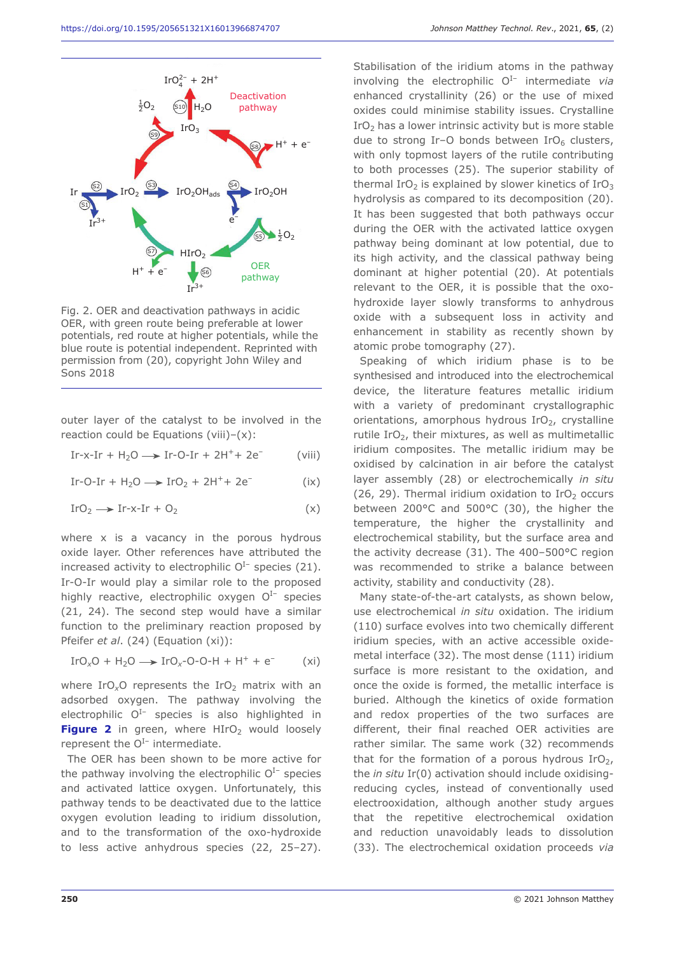

Fig. 2. OER and deactivation pathways in acidic OER, with green route being preferable at lower potentials, red route at higher potentials, while the blue route is potential independent. Reprinted with permission from (20), copyright John Wiley and Sons 2018

outer layer of the catalyst to be involved in the reaction could be Equations (viii)– $(x)$ :

$$
Ir-x-Ir + H_2O \longrightarrow Ir-O-Ir + 2H^+ + 2e^-
$$
 (viii)

 $Ir-O-Ir + H<sub>2</sub>O \rightarrow IrO<sub>2</sub> + 2H<sup>+</sup> + 2e<sup>-</sup>$  (ix)

$$
IrO2 \longrightarrow Ir-x-Ir + O2
$$
 (x)

where x is a vacancy in the porous hydrous oxide layer. Other references have attributed the increased activity to electrophilic  $O<sup>I-</sup>$  species (21). Ir-O-Ir would play a similar role to the proposed highly reactive, electrophilic oxygen  $O<sup>I-</sup>$  species (21, 24). The second step would have a similar function to the preliminary reaction proposed by Pfeifer *et al*. (24) (Equation (xi)):

$$
IrO_xO + H_2O \longrightarrow IrO_x-O-O-H + H^+ + e^-
$$
 (xi)

where IrO<sub>x</sub>O represents the IrO<sub>2</sub> matrix with an adsorbed oxygen. The pathway involving the electrophilic  $O<sup>I-</sup>$  species is also highlighted in Figure 2 in green, where HIrO<sub>2</sub> would loosely represent the  $O^{I-}$  intermediate.

The OER has been shown to be more active for the pathway involving the electrophilic  $O<sup>I-</sup>$  species and activated lattice oxygen. Unfortunately, this pathway tends to be deactivated due to the lattice oxygen evolution leading to iridium dissolution, and to the transformation of the oxo-hydroxide to less active anhydrous species (22, 25–27).

Stabilisation of the iridium atoms in the pathway involving the electrophilic  $O^{I-}$  intermediate *via* enhanced crystallinity (26) or the use of mixed oxides could minimise stability issues. Crystalline  $IrO<sub>2</sub>$  has a lower intrinsic activity but is more stable due to strong Ir-O bonds between  $IrO<sub>6</sub>$  clusters, with only topmost layers of the rutile contributing to both processes (25). The superior stability of thermal IrO<sub>2</sub> is explained by slower kinetics of IrO<sub>3</sub> hydrolysis as compared to its decomposition (20). It has been suggested that both pathways occur during the OER with the activated lattice oxygen pathway being dominant at low potential, due to its high activity, and the classical pathway being dominant at higher potential (20). At potentials relevant to the OER, it is possible that the oxohydroxide layer slowly transforms to anhydrous oxide with a subsequent loss in activity and enhancement in stability as recently shown by atomic probe tomography (27).

Speaking of which iridium phase is to be synthesised and introduced into the electrochemical device, the literature features metallic iridium with a variety of predominant crystallographic orientations, amorphous hydrous  $IrO<sub>2</sub>$ , crystalline rutile IrO $<sub>2</sub>$ , their mixtures, as well as multimetallic</sub> iridium composites. The metallic iridium may be oxidised by calcination in air before the catalyst layer assembly (28) or electrochemically *in situ* (26, 29). Thermal iridium oxidation to  $IrO<sub>2</sub>$  occurs between 200°C and 500°C (30), the higher the temperature, the higher the crystallinity and electrochemical stability, but the surface area and the activity decrease (31). The 400–500°C region was recommended to strike a balance between activity, stability and conductivity (28).

Many state-of-the-art catalysts, as shown below, use electrochemical *in situ* oxidation. The iridium (110) surface evolves into two chemically different iridium species, with an active accessible oxidemetal interface (32). The most dense (111) iridium surface is more resistant to the oxidation, and once the oxide is formed, the metallic interface is buried. Although the kinetics of oxide formation and redox properties of the two surfaces are different, their final reached OER activities are rather similar. The same work (32) recommends that for the formation of a porous hydrous  $IrO<sub>2</sub>$ , the *in situ* Ir(0) activation should include oxidisingreducing cycles, instead of conventionally used electrooxidation, although another study argues that the repetitive electrochemical oxidation and reduction unavoidably leads to dissolution (33). The electrochemical oxidation proceeds *via*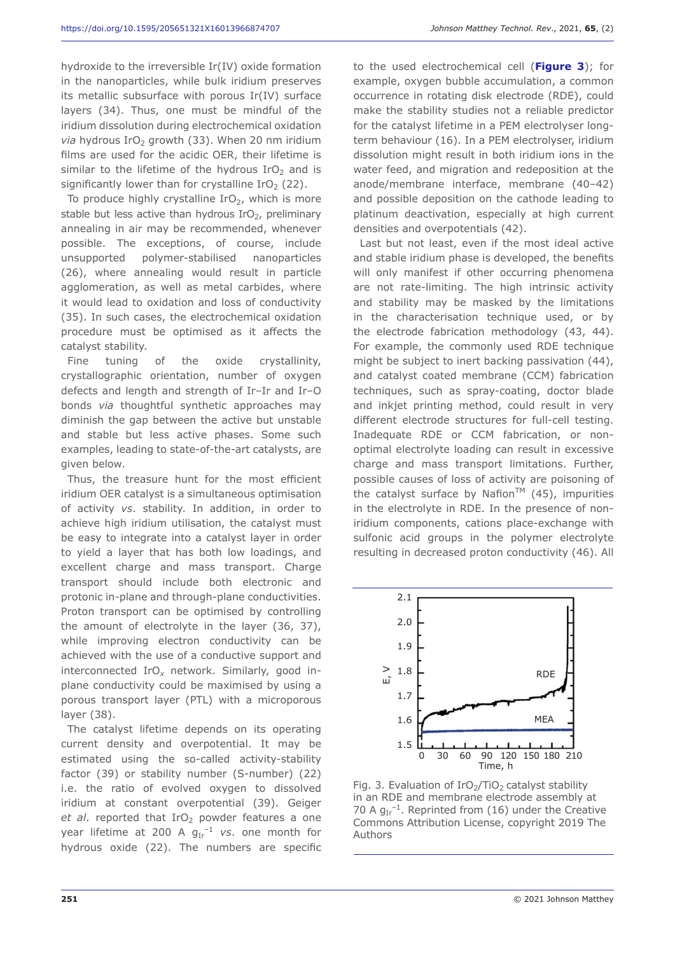hydroxide to the irreversible Ir(IV) oxide formation in the nanoparticles, while bulk iridium preserves its metallic subsurface with porous Ir(IV) surface layers (34). Thus, one must be mindful of the iridium dissolution during electrochemical oxidation *via* hydrous IrO<sub>2</sub> growth (33). When 20 nm iridium films are used for the acidic OER, their lifetime is similar to the lifetime of the hydrous  $IrO<sub>2</sub>$  and is significantly lower than for crystalline  $IrO<sub>2</sub> (22)$ .

To produce highly crystalline  $IrO<sub>2</sub>$ , which is more stable but less active than hydrous  $IrO<sub>2</sub>$ , preliminary annealing in air may be recommended, whenever possible. The exceptions, of course, include unsupported polymer-stabilised nanoparticles (26), where annealing would result in particle agglomeration, as well as metal carbides, where it would lead to oxidation and loss of conductivity (35). In such cases, the electrochemical oxidation procedure must be optimised as it affects the catalyst stability.

Fine tuning of the oxide crystallinity, crystallographic orientation, number of oxygen defects and length and strength of Ir–Ir and Ir–O bonds *via* thoughtful synthetic approaches may diminish the gap between the active but unstable and stable but less active phases. Some such examples, leading to state-of-the-art catalysts, are given below.

Thus, the treasure hunt for the most efficient iridium OER catalyst is a simultaneous optimisation of activity *vs*. stability. In addition, in order to achieve high iridium utilisation, the catalyst must be easy to integrate into a catalyst layer in order to yield a layer that has both low loadings, and excellent charge and mass transport. Charge transport should include both electronic and protonic in-plane and through-plane conductivities. Proton transport can be optimised by controlling the amount of electrolyte in the layer (36, 37), while improving electron conductivity can be achieved with the use of a conductive support and interconnected IrO*x* network. Similarly, good inplane conductivity could be maximised by using a porous transport layer (PTL) with a microporous layer (38).

The catalyst lifetime depends on its operating current density and overpotential. It may be estimated using the so-called activity-stability factor (39) or stability number (S-number) (22) i.e. the ratio of evolved oxygen to dissolved iridium at constant overpotential (39). Geiger *et al.* reported that IrO<sub>2</sub> powder features a one year lifetime at 200 A  $g_{Ir}^{-1}$  vs. one month for hydrous oxide (22). The numbers are specific

to the used electrochemical cell (**Figure 3**); for example, oxygen bubble accumulation, a common occurrence in rotating disk electrode (RDE), could make the stability studies not a reliable predictor for the catalyst lifetime in a PEM electrolyser longterm behaviour (16). In a PEM electrolyser, iridium dissolution might result in both iridium ions in the water feed, and migration and redeposition at the anode/membrane interface, membrane (40–42) and possible deposition on the cathode leading to platinum deactivation, especially at high current densities and overpotentials (42).

Last but not least, even if the most ideal active and stable iridium phase is developed, the benefits will only manifest if other occurring phenomena are not rate-limiting. The high intrinsic activity and stability may be masked by the limitations in the characterisation technique used, or by the electrode fabrication methodology (43, 44). For example, the commonly used RDE technique might be subject to inert backing passivation (44), and catalyst coated membrane (CCM) fabrication techniques, such as spray-coating, doctor blade and inkjet printing method, could result in very different electrode structures for full-cell testing. Inadequate RDE or CCM fabrication, or nonoptimal electrolyte loading can result in excessive charge and mass transport limitations. Further, possible causes of loss of activity are poisoning of the catalyst surface by Nafion<sup>TM</sup> (45), impurities in the electrolyte in RDE. In the presence of noniridium components, cations place-exchange with sulfonic acid groups in the polymer electrolyte resulting in decreased proton conductivity (46). All



Fig. 3. Evaluation of  $IrO<sub>2</sub>/TiO<sub>2</sub>$  catalyst stability in an RDE and membrane electrode assembly at 70 A  $g_{Ir}^{-1}$ . Reprinted from (16) under the Creative Commons Attribution License, copyright 2019 The Authors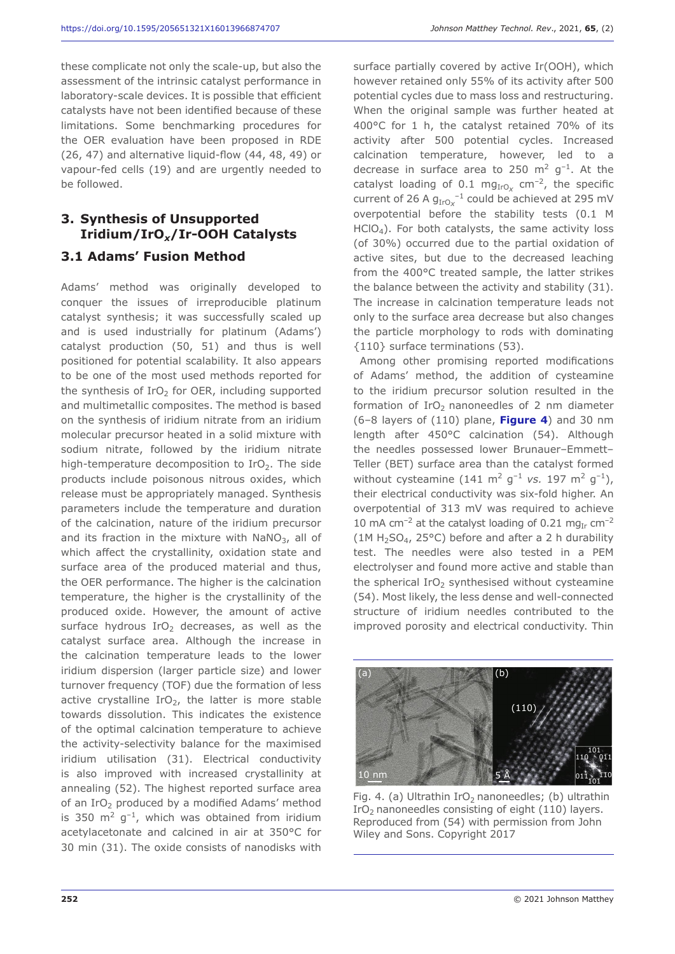these complicate not only the scale-up, but also the assessment of the intrinsic catalyst performance in laboratory-scale devices. It is possible that efficient catalysts have not been identified because of these limitations. Some benchmarking procedures for the OER evaluation have been proposed in RDE (26, 47) and alternative liquid-flow (44, 48, 49) or vapour-fed cells (19) and are urgently needed to be followed.

# **3. Synthesis of Unsupported Iridium/IrO***x***/Ir-OOH Catalysts**

#### **3.1 Adams' Fusion Method**

Adams' method was originally developed to conquer the issues of irreproducible platinum catalyst synthesis; it was successfully scaled up and is used industrially for platinum (Adams') catalyst production (50, 51) and thus is well positioned for potential scalability. It also appears to be one of the most used methods reported for the synthesis of  $IrO<sub>2</sub>$  for OER, including supported and multimetallic composites. The method is based on the synthesis of iridium nitrate from an iridium molecular precursor heated in a solid mixture with sodium nitrate, followed by the iridium nitrate high-temperature decomposition to  $IrO<sub>2</sub>$ . The side products include poisonous nitrous oxides, which release must be appropriately managed. Synthesis parameters include the temperature and duration of the calcination, nature of the iridium precursor and its fraction in the mixture with  $NaNO<sub>3</sub>$ , all of which affect the crystallinity, oxidation state and surface area of the produced material and thus, the OER performance. The higher is the calcination temperature, the higher is the crystallinity of the produced oxide. However, the amount of active surface hydrous IrO<sub>2</sub> decreases, as well as the catalyst surface area. Although the increase in the calcination temperature leads to the lower iridium dispersion (larger particle size) and lower turnover frequency (TOF) due the formation of less active crystalline  $IrO<sub>2</sub>$ , the latter is more stable towards dissolution. This indicates the existence of the optimal calcination temperature to achieve the activity-selectivity balance for the maximised iridium utilisation (31). Electrical conductivity is also improved with increased crystallinity at annealing (52). The highest reported surface area of an IrO<sub>2</sub> produced by a modified Adams' method is 350  $m^2$  g<sup>-1</sup>, which was obtained from iridium acetylacetonate and calcined in air at 350°C for 30 min (31). The oxide consists of nanodisks with

surface partially covered by active Ir(OOH), which however retained only 55% of its activity after 500 potential cycles due to mass loss and restructuring. When the original sample was further heated at 400°C for 1 h, the catalyst retained 70% of its activity after 500 potential cycles. Increased calcination temperature, however, led to a decrease in surface area to 250  $\text{m}^2$  g<sup>-1</sup>. At the catalyst loading of 0.1 mg<sub>IrOx</sub> cm<sup>-2</sup>, the specific current of 26 A  $g_{Iro-x}^{-1}$  could be achieved at 295 mV overpotential before the stability tests (0.1 M  $HClO<sub>4</sub>$ ). For both catalysts, the same activity loss (of 30%) occurred due to the partial oxidation of active sites, but due to the decreased leaching from the 400°C treated sample, the latter strikes the balance between the activity and stability (31). The increase in calcination temperature leads not only to the surface area decrease but also changes the particle morphology to rods with dominating {110} surface terminations (53).

Among other promising reported modifications of Adams' method, the addition of cysteamine to the iridium precursor solution resulted in the formation of  $IrO<sub>2</sub>$  nanoneedles of 2 nm diameter (6–8 layers of (110) plane, **Figure 4**) and 30 nm length after 450°C calcination (54). Although the needles possessed lower Brunauer–Emmett– Teller (BET) surface area than the catalyst formed without cysteamine  $(141 \text{ m}^2 \text{ g}^{-1} \text{ vs. } 197 \text{ m}^2 \text{ g}^{-1})$ , their electrical conductivity was six-fold higher. An overpotential of 313 mV was required to achieve 10 mA cm<sup>-2</sup> at the catalyst loading of 0.21 mg<sub>Ir</sub> cm<sup>-2</sup> (1M  $H_2SO_4$ , 25°C) before and after a 2 h durability test. The needles were also tested in a PEM electrolyser and found more active and stable than the spherical IrO<sub>2</sub> synthesised without cysteamine (54). Most likely, the less dense and well-connected structure of iridium needles contributed to the improved porosity and electrical conductivity. Thin



Fig. 4. (a) Ultrathin  $IrO<sub>2</sub>$  nanoneedles; (b) ultrathin IrO<sub>2</sub> nanoneedles consisting of eight  $(110)$  layers. Reproduced from (54) with permission from John Wiley and Sons. Copyright 2017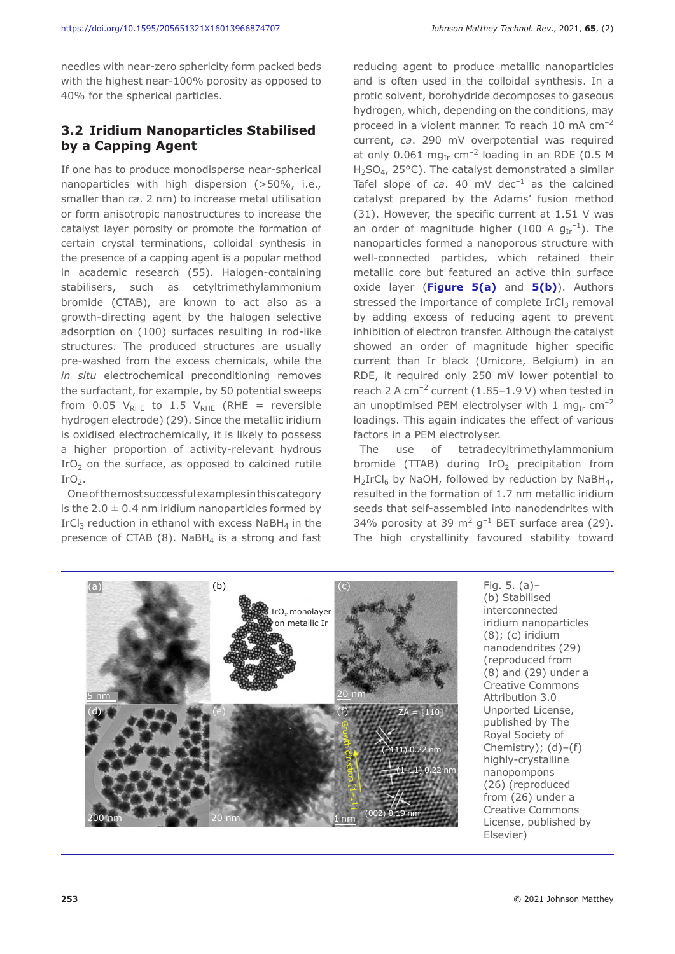needles with near-zero sphericity form packed beds with the highest near-100% porosity as opposed to 40% for the spherical particles.

#### **3.2 Iridium Nanoparticles Stabilised by a Capping Agent**

If one has to produce monodisperse near-spherical nanoparticles with high dispersion (>50%, i.e., smaller than *ca*. 2 nm) to increase metal utilisation or form anisotropic nanostructures to increase the catalyst layer porosity or promote the formation of certain crystal terminations, colloidal synthesis in the presence of a capping agent is a popular method in academic research (55). Halogen-containing stabilisers, such as cetyltrimethylammonium bromide (CTAB), are known to act also as a growth-directing agent by the halogen selective adsorption on (100) surfaces resulting in rod-like structures. The produced structures are usually pre-washed from the excess chemicals, while the *in situ* electrochemical preconditioning removes the surfactant, for example, by 50 potential sweeps from 0.05  $V_{RHE}$  to 1.5  $V_{RHE}$  (RHE = reversible hydrogen electrode) (29). Since the metallic iridium is oxidised electrochemically, it is likely to possess a higher proportion of activity-relevant hydrous IrO<sub>2</sub> on the surface, as opposed to calcined rutile  $IrO<sub>2</sub>$ .

One of the most successful examples in this category is the  $2.0 \pm 0.4$  nm iridium nanoparticles formed by IrCl<sub>3</sub> reduction in ethanol with excess NaBH<sub>4</sub> in the presence of CTAB  $(8)$ . NaBH<sub>4</sub> is a strong and fast reducing agent to produce metallic nanoparticles and is often used in the colloidal synthesis. In a protic solvent, borohydride decomposes to gaseous hydrogen, which, depending on the conditions, may proceed in a violent manner. To reach 10 mA cm–2 current, *ca*. 290 mV overpotential was required at only 0.061 mg<sub>Ir</sub> cm<sup>-2</sup> loading in an RDE (0.5 M  $H<sub>2</sub>SO<sub>4</sub>$ , 25°C). The catalyst demonstrated a similar Tafel slope of  $ca$ . 40 mV dec<sup>-1</sup> as the calcined catalyst prepared by the Adams' fusion method (31). However, the specific current at 1.51 V was an order of magnitude higher (100 A  $g_{Ir}^{-1}$ ). The nanoparticles formed a nanoporous structure with well-connected particles, which retained their metallic core but featured an active thin surface oxide layer (**Figure 5(a)** and **5(b)**). Authors stressed the importance of complete  $IrCl<sub>3</sub>$  removal by adding excess of reducing agent to prevent inhibition of electron transfer. Although the catalyst showed an order of magnitude higher specific current than Ir black (Umicore, Belgium) in an RDE, it required only 250 mV lower potential to reach 2 A cm<sup>-2</sup> current (1.85-1.9 V) when tested in an unoptimised PEM electrolyser with 1 mg<sub>Ir</sub> cm<sup>-2</sup> loadings. This again indicates the effect of various factors in a PEM electrolyser.

The use of tetradecyltrimethylammonium bromide (TTAB) during  $IrO<sub>2</sub>$  precipitation from  $H_2IrCl_6$  by NaOH, followed by reduction by NaBH<sub>4</sub>, resulted in the formation of 1.7 nm metallic iridium seeds that self-assembled into nanodendrites with 34% porosity at 39  $\mathrm{m}^2$  g<sup>-1</sup> BET surface area (29). The high crystallinity favoured stability toward



Fig. 5. (a)– (b) Stabilised interconnected iridium nanoparticles (8); (c) iridium nanodendrites (29) (reproduced from (8) and (29) under a Creative Commons Attribution 3.0 Unported License, published by The Royal Society of Chemistry);  $(d)-(f)$ highly-crystalline nanopompons (26) (reproduced from (26) under a Creative Commons License, published by Elsevier)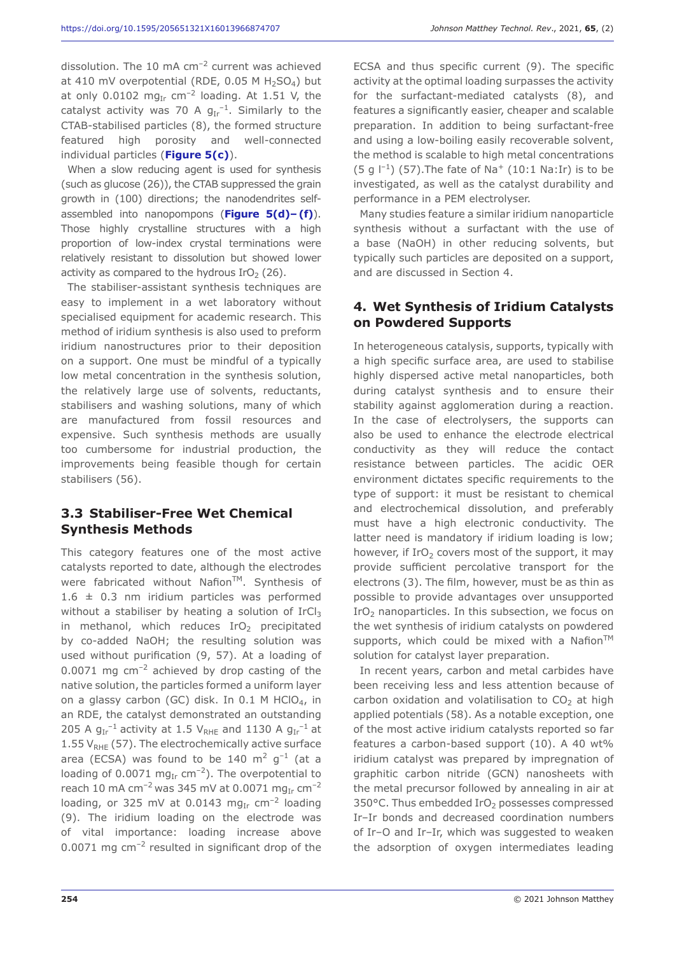dissolution. The 10 mA cm<sup>-2</sup> current was achieved at 410 mV overpotential (RDE,  $0.05$  M H<sub>2</sub>SO<sub>4</sub>) but at only 0.0102 mg<sub>Ir</sub> cm<sup>-2</sup> loading. At 1.51 V, the catalyst activity was 70 A  $g_{Ir}^{-1}$ . Similarly to the CTAB-stabilised particles (8), the formed structure featured high porosity and well-connected individual particles (**Figure 5(c)**).

When a slow reducing agent is used for synthesis (such as glucose (26)), the CTAB suppressed the grain growth in (100) directions; the nanodendrites selfassembled into nanopompons (**Figure 5(d)– (f)**). Those highly crystalline structures with a high proportion of low-index crystal terminations were relatively resistant to dissolution but showed lower activity as compared to the hydrous  $IrO<sub>2</sub>$  (26).

The stabiliser-assistant synthesis techniques are easy to implement in a wet laboratory without specialised equipment for academic research. This method of iridium synthesis is also used to preform iridium nanostructures prior to their deposition on a support. One must be mindful of a typically low metal concentration in the synthesis solution, the relatively large use of solvents, reductants, stabilisers and washing solutions, many of which are manufactured from fossil resources and expensive. Such synthesis methods are usually too cumbersome for industrial production, the improvements being feasible though for certain stabilisers (56).

#### **3.3 Stabiliser-Free Wet Chemical Synthesis Methods**

This category features one of the most active catalysts reported to date, although the electrodes were fabricated without Nafion™. Synthesis of  $1.6 \pm 0.3$  nm iridium particles was performed without a stabiliser by heating a solution of  $IrCl<sub>3</sub>$ in methanol, which reduces  $IrO<sub>2</sub>$  precipitated by co-added NaOH; the resulting solution was used without purification (9, 57). At a loading of  $0.0071$  mg cm<sup>-2</sup> achieved by drop casting of the native solution, the particles formed a uniform layer on a glassy carbon (GC) disk. In  $0.1$  M HClO<sub>4</sub>, in an RDE, the catalyst demonstrated an outstanding 205 A  $g_{Ir}^{-1}$  activity at 1.5  $V_{RHE}$  and 1130 A  $g_{Ir}^{-1}$  at 1.55  $V_{RHF}$  (57). The electrochemically active surface area (ECSA) was found to be 140  $\text{m}^2$  g<sup>-1</sup> (at a loading of 0.0071 mg<sub>Ir</sub> cm<sup>-2</sup>). The overpotential to reach 10 mA cm<sup>-2</sup> was 345 mV at 0.0071 mg<sub>Ir</sub> cm<sup>-2</sup> loading, or 325 mV at 0.0143 mg<sub>Ir</sub> cm<sup>-2</sup> loading (9). The iridium loading on the electrode was of vital importance: loading increase above  $0.0071$  mg cm<sup>-2</sup> resulted in significant drop of the

ECSA and thus specific current (9). The specific activity at the optimal loading surpasses the activity for the surfactant-mediated catalysts (8), and features a significantly easier, cheaper and scalable preparation. In addition to being surfactant-free and using a low-boiling easily recoverable solvent, the method is scalable to high metal concentrations (5 g  $\binom{-1}{5}$  (57). The fate of Na<sup>+</sup> (10:1 Na: Ir) is to be investigated, as well as the catalyst durability and performance in a PEM electrolyser.

Many studies feature a similar iridium nanoparticle synthesis without a surfactant with the use of a base (NaOH) in other reducing solvents, but typically such particles are deposited on a support, and are discussed in Section 4.

#### **4. Wet Synthesis of Iridium Catalysts on Powdered Supports**

In heterogeneous catalysis, supports, typically with a high specific surface area, are used to stabilise highly dispersed active metal nanoparticles, both during catalyst synthesis and to ensure their stability against agglomeration during a reaction. In the case of electrolysers, the supports can also be used to enhance the electrode electrical conductivity as they will reduce the contact resistance between particles. The acidic OER environment dictates specific requirements to the type of support: it must be resistant to chemical and electrochemical dissolution, and preferably must have a high electronic conductivity. The latter need is mandatory if iridium loading is low; however, if  $IrO<sub>2</sub>$  covers most of the support, it may provide sufficient percolative transport for the electrons (3). The film, however, must be as thin as possible to provide advantages over unsupported IrO<sub>2</sub> nanoparticles. In this subsection, we focus on the wet synthesis of iridium catalysts on powdered supports, which could be mixed with a Nafion<sup>TM</sup> solution for catalyst layer preparation.

In recent years, carbon and metal carbides have been receiving less and less attention because of carbon oxidation and volatilisation to  $CO<sub>2</sub>$  at high applied potentials (58). As a notable exception, one of the most active iridium catalysts reported so far features a carbon-based support (10). A 40 wt% iridium catalyst was prepared by impregnation of graphitic carbon nitride (GCN) nanosheets with the metal precursor followed by annealing in air at 350°C. Thus embedded IrO<sub>2</sub> possesses compressed Ir–Ir bonds and decreased coordination numbers of Ir–O and Ir–Ir, which was suggested to weaken the adsorption of oxygen intermediates leading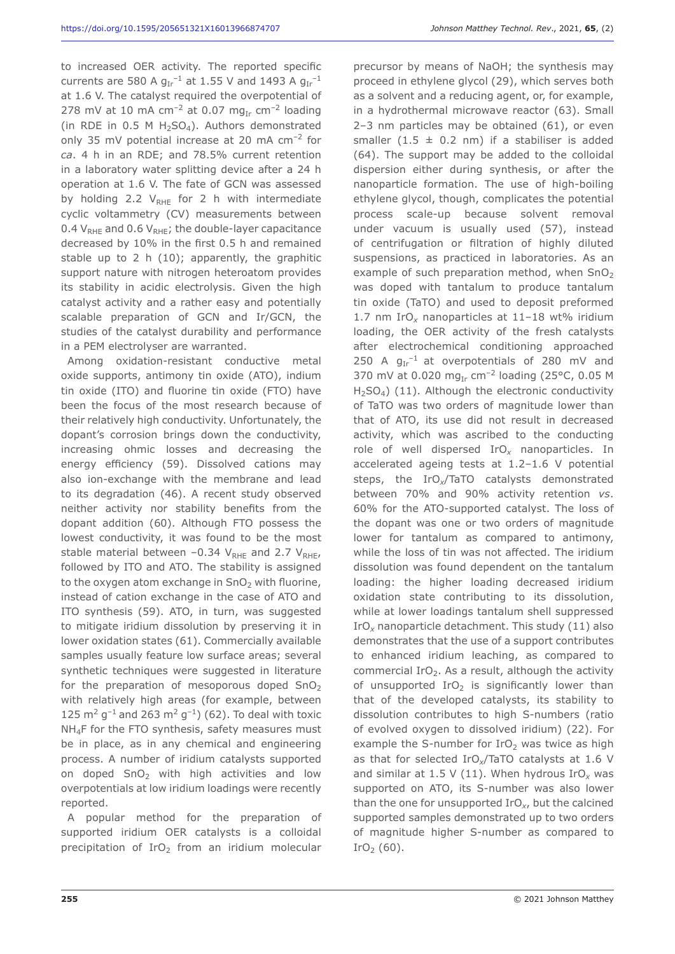to increased OER activity. The reported specific currents are 580 A  $g_{Ir}^{-1}$  at 1.55 V and 1493 A  $g_{Ir}^{-1}$ at 1.6 V. The catalyst required the overpotential of 278 mV at 10 mA cm<sup>-2</sup> at 0.07 mg<sub>Ir</sub> cm<sup>-2</sup> loading (in RDE in 0.5 M  $H_2SO_4$ ). Authors demonstrated only 35 mV potential increase at 20 mA  $cm^{-2}$  for *ca*. 4 h in an RDE; and 78.5% current retention in a laboratory water splitting device after a 24 h operation at 1.6 V. The fate of GCN was assessed by holding 2.2  $V_{RHE}$  for 2 h with intermediate cyclic voltammetry (CV) measurements between 0.4  $V_{RHE}$  and 0.6  $V_{RHE}$ ; the double-layer capacitance decreased by 10% in the first 0.5 h and remained stable up to 2 h (10); apparently, the graphitic support nature with nitrogen heteroatom provides its stability in acidic electrolysis. Given the high catalyst activity and a rather easy and potentially scalable preparation of GCN and Ir/GCN, the studies of the catalyst durability and performance in a PEM electrolyser are warranted.

Among oxidation-resistant conductive metal oxide supports, antimony tin oxide (ATO), indium tin oxide (ITO) and fluorine tin oxide (FTO) have been the focus of the most research because of their relatively high conductivity. Unfortunately, the dopant's corrosion brings down the conductivity, increasing ohmic losses and decreasing the energy efficiency (59). Dissolved cations may also ion-exchange with the membrane and lead to its degradation (46). A recent study observed neither activity nor stability benefits from the dopant addition (60). Although FTO possess the lowest conductivity, it was found to be the most stable material between  $-0.34$  V<sub>RHE</sub> and 2.7 V<sub>RHE</sub>, followed by ITO and ATO. The stability is assigned to the oxygen atom exchange in  $SnO<sub>2</sub>$  with fluorine, instead of cation exchange in the case of ATO and ITO synthesis (59). ATO, in turn, was suggested to mitigate iridium dissolution by preserving it in lower oxidation states (61). Commercially available samples usually feature low surface areas; several synthetic techniques were suggested in literature for the preparation of mesoporous doped  $SnO<sub>2</sub>$ with relatively high areas (for example, between 125 m<sup>2</sup> g<sup>-1</sup> and 263 m<sup>2</sup> g<sup>-1</sup>) (62). To deal with toxic NH<sub>4</sub>F for the FTO synthesis, safety measures must be in place, as in any chemical and engineering process. A number of iridium catalysts supported on doped  $SnO<sub>2</sub>$  with high activities and low overpotentials at low iridium loadings were recently reported.

A popular method for the preparation of supported iridium OER catalysts is a colloidal precipitation of  $IrO<sub>2</sub>$  from an iridium molecular

precursor by means of NaOH; the synthesis may proceed in ethylene glycol (29), which serves both as a solvent and a reducing agent, or, for example, in a hydrothermal microwave reactor (63). Small 2–3 nm particles may be obtained (61), or even smaller (1.5  $\pm$  0.2 nm) if a stabiliser is added (64). The support may be added to the colloidal dispersion either during synthesis, or after the nanoparticle formation. The use of high-boiling ethylene glycol, though, complicates the potential process scale-up because solvent removal under vacuum is usually used (57), instead of centrifugation or filtration of highly diluted suspensions, as practiced in laboratories. As an example of such preparation method, when  $SnO<sub>2</sub>$ was doped with tantalum to produce tantalum tin oxide (TaTO) and used to deposit preformed 1.7 nm IrO*x* nanoparticles at 11–18 wt% iridium loading, the OER activity of the fresh catalysts after electrochemical conditioning approached 250 A  $g_{Ir}^{-1}$  at overpotentials of 280 mV and 370 mV at 0.020 mg<sub>Ir</sub> cm<sup>-2</sup> loading (25°C, 0.05 M  $H<sub>2</sub>SO<sub>4</sub>$ ) (11). Although the electronic conductivity of TaTO was two orders of magnitude lower than that of ATO, its use did not result in decreased activity, which was ascribed to the conducting role of well dispersed IrO*x* nanoparticles. In accelerated ageing tests at 1.2–1.6 V potential steps, the IrO*x*/TaTO catalysts demonstrated between 70% and 90% activity retention *vs*. 60% for the ATO-supported catalyst. The loss of the dopant was one or two orders of magnitude lower for tantalum as compared to antimony, while the loss of tin was not affected. The iridium dissolution was found dependent on the tantalum loading: the higher loading decreased iridium oxidation state contributing to its dissolution, while at lower loadings tantalum shell suppressed IrO*x* nanoparticle detachment. This study (11) also demonstrates that the use of a support contributes to enhanced iridium leaching, as compared to commercial IrO<sub>2</sub>. As a result, although the activity of unsupported  $IrO<sub>2</sub>$  is significantly lower than that of the developed catalysts, its stability to dissolution contributes to high S-numbers (ratio of evolved oxygen to dissolved iridium) (22). For example the S-number for  $IrO<sub>2</sub>$  was twice as high as that for selected IrO*x*/TaTO catalysts at 1.6 V and similar at  $1.5$  V (11). When hydrous  $IrO<sub>x</sub>$  was supported on ATO, its S-number was also lower than the one for unsupported IrO*x*, but the calcined supported samples demonstrated up to two orders of magnitude higher S-number as compared to

 $IrO<sub>2</sub>$  (60).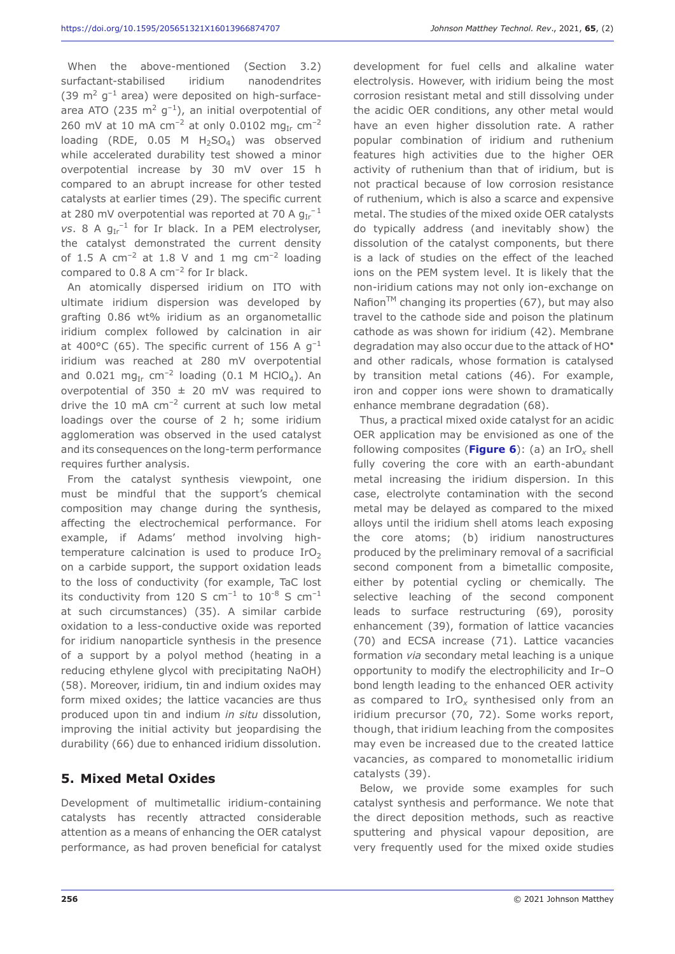When the above-mentioned (Section 3.2) surfactant-stabilised iridium nanodendrites (39  $\text{m}^2$  g<sup>-1</sup> area) were deposited on high-surfacearea ATO (235 m<sup>2</sup> g<sup>-1</sup>), an initial overpotential of 260 mV at 10 mA  $cm^{-2}$  at only 0.0102 mg<sub>Ir</sub>  $cm^{-2}$ loading (RDE,  $0.05$  M  $H_2SO_4$ ) was observed while accelerated durability test showed a minor overpotential increase by 30 mV over 15 h compared to an abrupt increase for other tested catalysts at earlier times (29). The specific current at 280 mV overpotential was reported at 70 A  $g_{Ir}^{-1}$  $vs. 8 A g_{Ir}^{-1}$  for Ir black. In a PEM electrolyser, the catalyst demonstrated the current density of 1.5 A  $cm^{-2}$  at 1.8 V and 1 mg  $cm^{-2}$  loading compared to 0.8 A  $cm^{-2}$  for Ir black.

An atomically dispersed iridium on ITO with ultimate iridium dispersion was developed by grafting 0.86 wt% iridium as an organometallic iridium complex followed by calcination in air at 400 $^{\circ}$ C (65). The specific current of 156 A  $q^{-1}$ iridium was reached at 280 mV overpotential and 0.021 mg<sub>Ir</sub> cm<sup>-2</sup> loading (0.1 M HClO<sub>4</sub>). An overpotential of 350  $\pm$  20 mV was required to drive the 10 mA  $cm^{-2}$  current at such low metal loadings over the course of 2 h; some iridium agglomeration was observed in the used catalyst and its consequences on the long-term performance requires further analysis.

From the catalyst synthesis viewpoint, one must be mindful that the support's chemical composition may change during the synthesis, affecting the electrochemical performance. For example, if Adams' method involving hightemperature calcination is used to produce  $IrO<sub>2</sub>$ on a carbide support, the support oxidation leads to the loss of conductivity (for example, TaC lost its conductivity from 120 S  $cm^{-1}$  to 10<sup>-8</sup> S  $cm^{-1}$ at such circumstances) (35). A similar carbide oxidation to a less-conductive oxide was reported for iridium nanoparticle synthesis in the presence of a support by a polyol method (heating in a reducing ethylene glycol with precipitating NaOH) (58). Moreover, iridium, tin and indium oxides may form mixed oxides; the lattice vacancies are thus produced upon tin and indium *in situ* dissolution, improving the initial activity but jeopardising the durability (66) due to enhanced iridium dissolution.

#### **5. Mixed Metal Oxides**

Development of multimetallic iridium-containing catalysts has recently attracted considerable attention as a means of enhancing the OER catalyst performance, as had proven beneficial for catalyst development for fuel cells and alkaline water electrolysis. However, with iridium being the most corrosion resistant metal and still dissolving under the acidic OER conditions, any other metal would have an even higher dissolution rate. A rather popular combination of iridium and ruthenium features high activities due to the higher OER activity of ruthenium than that of iridium, but is not practical because of low corrosion resistance of ruthenium, which is also a scarce and expensive metal. The studies of the mixed oxide OER catalysts do typically address (and inevitably show) the dissolution of the catalyst components, but there is a lack of studies on the effect of the leached ions on the PEM system level. It is likely that the non-iridium cations may not only ion-exchange on Nafion<sup>TM</sup> changing its properties (67), but may also travel to the cathode side and poison the platinum cathode as was shown for iridium (42). Membrane degradation may also occur due to the attack of HO• and other radicals, whose formation is catalysed by transition metal cations (46). For example, iron and copper ions were shown to dramatically enhance membrane degradation (68).

Thus, a practical mixed oxide catalyst for an acidic OER application may be envisioned as one of the following composites (**Figure 6**): (a) an IrO*x* shell fully covering the core with an earth-abundant metal increasing the iridium dispersion. In this case, electrolyte contamination with the second metal may be delayed as compared to the mixed alloys until the iridium shell atoms leach exposing the core atoms; (b) iridium nanostructures produced by the preliminary removal of a sacrificial second component from a bimetallic composite, either by potential cycling or chemically. The selective leaching of the second component leads to surface restructuring (69), porosity enhancement (39), formation of lattice vacancies (70) and ECSA increase (71). Lattice vacancies formation *via* secondary metal leaching is a unique opportunity to modify the electrophilicity and Ir–O bond length leading to the enhanced OER activity as compared to IrO*x* synthesised only from an iridium precursor (70, 72). Some works report, though, that iridium leaching from the composites may even be increased due to the created lattice vacancies, as compared to monometallic iridium catalysts (39).

Below, we provide some examples for such catalyst synthesis and performance. We note that the direct deposition methods, such as reactive sputtering and physical vapour deposition, are very frequently used for the mixed oxide studies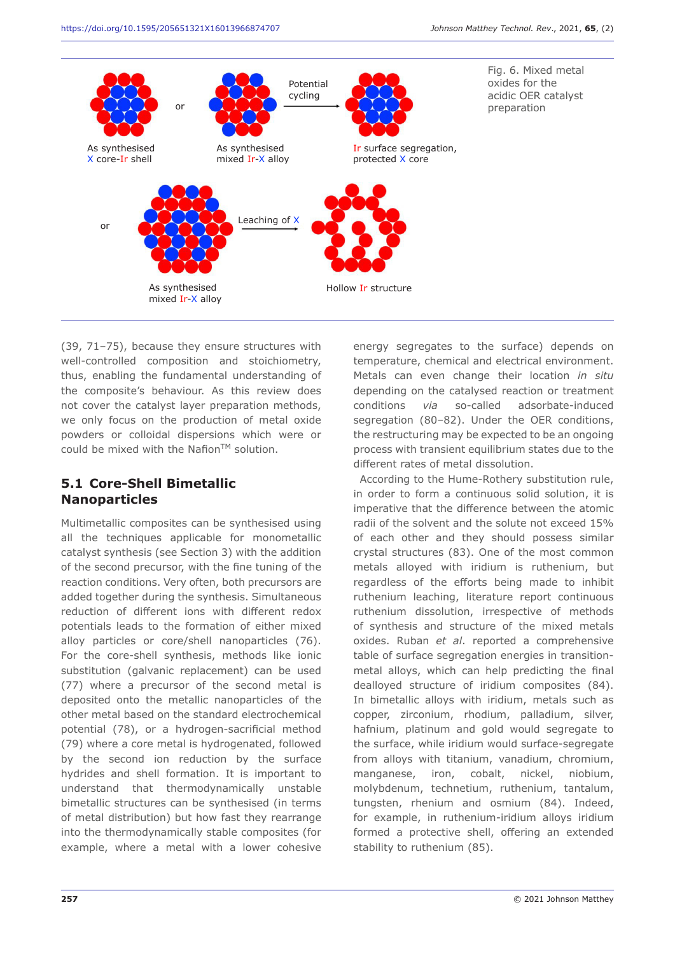

Fig. 6. Mixed metal oxides for the acidic OER catalyst preparation

(39, 71–75), because they ensure structures with well-controlled composition and stoichiometry, thus, enabling the fundamental understanding of the composite's behaviour. As this review does not cover the catalyst layer preparation methods, we only focus on the production of metal oxide powders or colloidal dispersions which were or could be mixed with the Nafion<sup>TM</sup> solution.

# **5.1 Core-Shell Bimetallic Nanoparticles**

Multimetallic composites can be synthesised using all the techniques applicable for monometallic catalyst synthesis (see Section 3) with the addition of the second precursor, with the fine tuning of the reaction conditions. Very often, both precursors are added together during the synthesis. Simultaneous reduction of different ions with different redox potentials leads to the formation of either mixed alloy particles or core/shell nanoparticles (76). For the core-shell synthesis, methods like ionic substitution (galvanic replacement) can be used (77) where a precursor of the second metal is deposited onto the metallic nanoparticles of the other metal based on the standard electrochemical potential (78), or a hydrogen-sacrificial method (79) where a core metal is hydrogenated, followed by the second ion reduction by the surface hydrides and shell formation. It is important to understand that thermodynamically unstable bimetallic structures can be synthesised (in terms of metal distribution) but how fast they rearrange into the thermodynamically stable composites (for example, where a metal with a lower cohesive

energy segregates to the surface) depends on temperature, chemical and electrical environment. Metals can even change their location *in situ* depending on the catalysed reaction or treatment conditions *via* so-called adsorbate-induced segregation (80–82). Under the OER conditions, the restructuring may be expected to be an ongoing process with transient equilibrium states due to the different rates of metal dissolution.

According to the Hume-Rothery substitution rule, in order to form a continuous solid solution, it is imperative that the difference between the atomic radii of the solvent and the solute not exceed 15% of each other and they should possess similar crystal structures (83). One of the most common metals alloyed with iridium is ruthenium, but regardless of the efforts being made to inhibit ruthenium leaching, literature report continuous ruthenium dissolution, irrespective of methods of synthesis and structure of the mixed metals oxides. Ruban *et al*. reported a comprehensive table of surface segregation energies in transitionmetal alloys, which can help predicting the final dealloyed structure of iridium composites (84). In bimetallic alloys with iridium, metals such as copper, zirconium, rhodium, palladium, silver, hafnium, platinum and gold would segregate to the surface, while iridium would surface-segregate from alloys with titanium, vanadium, chromium, manganese, iron, cobalt, nickel, niobium, molybdenum, technetium, ruthenium, tantalum, tungsten, rhenium and osmium (84). Indeed, for example, in ruthenium-iridium alloys iridium formed a protective shell, offering an extended stability to ruthenium (85).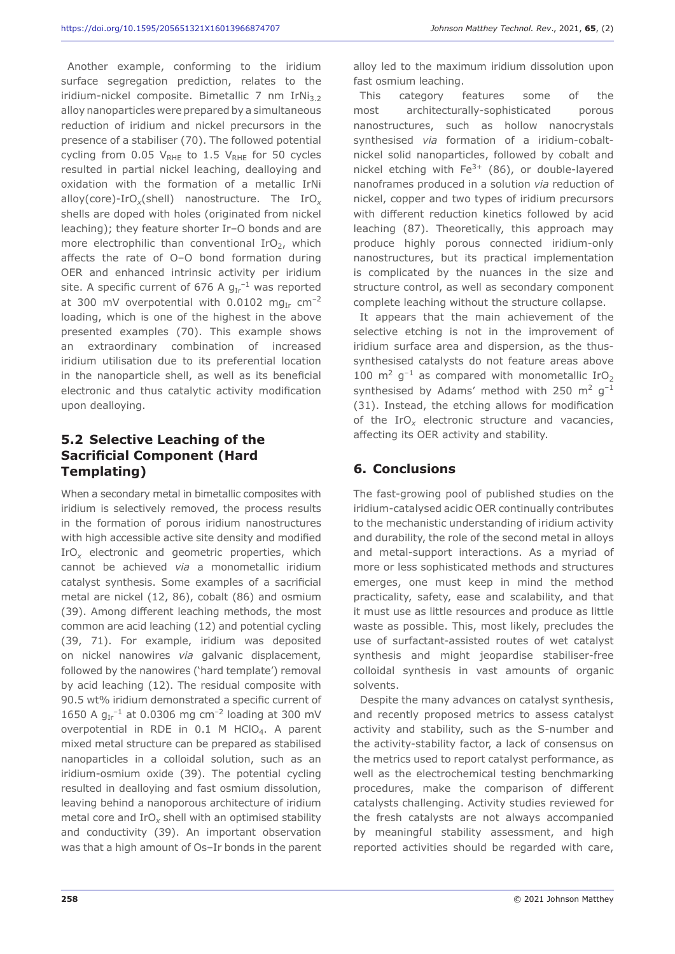Another example, conforming to the iridium surface segregation prediction, relates to the iridium-nickel composite. Bimetallic 7 nm IrNi $_3$ , alloy nanoparticles were prepared by a simultaneous reduction of iridium and nickel precursors in the presence of a stabiliser (70). The followed potential cycling from 0.05  $V_{RHE}$  to 1.5  $V_{RHE}$  for 50 cycles resulted in partial nickel leaching, dealloying and oxidation with the formation of a metallic IrNi alloy(core)-IrO*x*(shell) nanostructure. The IrO*<sup>x</sup>* shells are doped with holes (originated from nickel leaching); they feature shorter Ir–O bonds and are more electrophilic than conventional  $IrO<sub>2</sub>$ , which affects the rate of O–O bond formation during OER and enhanced intrinsic activity per iridium site. A specific current of 676 A  $g_{Ir}^{-1}$  was reported at 300 mV overpotential with 0.0102 mg<sub>Ir</sub> cm<sup>-2</sup> loading, which is one of the highest in the above presented examples (70). This example shows an extraordinary combination of increased iridium utilisation due to its preferential location in the nanoparticle shell, as well as its beneficial electronic and thus catalytic activity modification upon dealloying.

# **5.2 Selective Leaching of the Sacrificial Component (Hard Templating)**

When a secondary metal in bimetallic composites with iridium is selectively removed, the process results in the formation of porous iridium nanostructures with high accessible active site density and modified IrO*x* electronic and geometric properties, which cannot be achieved *via* a monometallic iridium catalyst synthesis. Some examples of a sacrificial metal are nickel (12, 86), cobalt (86) and osmium (39). Among different leaching methods, the most common are acid leaching (12) and potential cycling (39, 71). For example, iridium was deposited on nickel nanowires *via* galvanic displacement, followed by the nanowires ('hard template') removal by acid leaching (12). The residual composite with 90.5 wt% iridium demonstrated a specific current of 1650 A  $g_{Ir}^{-1}$  at 0.0306 mg cm<sup>-2</sup> loading at 300 mV overpotential in RDE in  $0.1$  M HClO<sub>4</sub>. A parent mixed metal structure can be prepared as stabilised nanoparticles in a colloidal solution, such as an iridium-osmium oxide (39). The potential cycling resulted in dealloying and fast osmium dissolution, leaving behind a nanoporous architecture of iridium metal core and IrO*x* shell with an optimised stability and conductivity (39). An important observation was that a high amount of Os–Ir bonds in the parent

alloy led to the maximum iridium dissolution upon fast osmium leaching.

This category features some of the most architecturally-sophisticated porous nanostructures, such as hollow nanocrystals synthesised *via* formation of a iridium-cobaltnickel solid nanoparticles, followed by cobalt and nickel etching with  $Fe^{3+}$  (86), or double-layered nanoframes produced in a solution *via* reduction of nickel, copper and two types of iridium precursors with different reduction kinetics followed by acid leaching (87). Theoretically, this approach may produce highly porous connected iridium-only nanostructures, but its practical implementation is complicated by the nuances in the size and structure control, as well as secondary component complete leaching without the structure collapse.

It appears that the main achievement of the selective etching is not in the improvement of iridium surface area and dispersion, as the thussynthesised catalysts do not feature areas above 100  $m^2$  g<sup>-1</sup> as compared with monometallic IrO<sub>2</sub> synthesised by Adams' method with 250  $m^2$  g<sup>-1</sup> (31). Instead, the etching allows for modification of the IrO*x* electronic structure and vacancies, affecting its OER activity and stability.

# **6. Conclusions**

The fast-growing pool of published studies on the iridium-catalysed acidic OER continually contributes to the mechanistic understanding of iridium activity and durability, the role of the second metal in alloys and metal-support interactions. As a myriad of more or less sophisticated methods and structures emerges, one must keep in mind the method practicality, safety, ease and scalability, and that it must use as little resources and produce as little waste as possible. This, most likely, precludes the use of surfactant-assisted routes of wet catalyst synthesis and might jeopardise stabiliser-free colloidal synthesis in vast amounts of organic solvents.

Despite the many advances on catalyst synthesis, and recently proposed metrics to assess catalyst activity and stability, such as the S-number and the activity-stability factor, a lack of consensus on the metrics used to report catalyst performance, as well as the electrochemical testing benchmarking procedures, make the comparison of different catalysts challenging. Activity studies reviewed for the fresh catalysts are not always accompanied by meaningful stability assessment, and high reported activities should be regarded with care,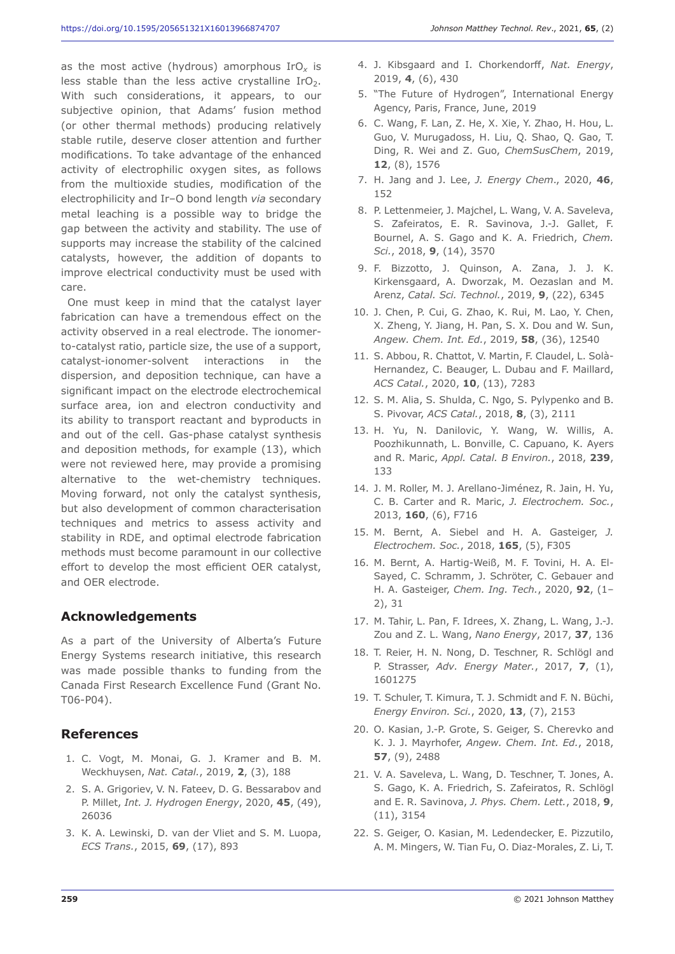as the most active (hydrous) amorphous IrO*x* is less stable than the less active crystalline  $IrO<sub>2</sub>$ . With such considerations, it appears, to our subjective opinion, that Adams' fusion method (or other thermal methods) producing relatively stable rutile, deserve closer attention and further modifications. To take advantage of the enhanced activity of electrophilic oxygen sites, as follows from the multioxide studies, modification of the electrophilicity and Ir–O bond length *via* secondary metal leaching is a possible way to bridge the gap between the activity and stability. The use of supports may increase the stability of the calcined catalysts, however, the addition of dopants to improve electrical conductivity must be used with care.

One must keep in mind that the catalyst layer fabrication can have a tremendous effect on the activity observed in a real electrode. The ionomerto-catalyst ratio, particle size, the use of a support, catalyst-ionomer-solvent interactions in the dispersion, and deposition technique, can have a significant impact on the electrode electrochemical surface area, ion and electron conductivity and its ability to transport reactant and byproducts in and out of the cell. Gas-phase catalyst synthesis and deposition methods, for example (13), which were not reviewed here, may provide a promising alternative to the wet-chemistry techniques. Moving forward, not only the catalyst synthesis, but also development of common characterisation techniques and metrics to assess activity and stability in RDE, and optimal electrode fabrication methods must become paramount in our collective effort to develop the most efficient OER catalyst, and OER electrode.

#### **Acknowledgements**

As a part of the University of Alberta's Future Energy Systems research initiative, this research was made possible thanks to funding from the Canada First Research Excellence Fund (Grant No. T06-P04).

#### **References**

- 1. C. Vogt, M. Monai, G. J. Kramer and B. M. Weckhuysen, *Nat. Catal.*, 2019, **2**, (3), 188
- 2. S. A. Grigoriev, V. N. Fateev, D. G. Bessarabov and P. Millet, *Int. J. Hydrogen Energy*, 2020, **45**, (49), 26036
- 3. K. A. Lewinski, D. van der Vliet and S. M. Luopa, *ECS Trans.*, 2015, **69**, (17), 893
- 4. J. Kibsgaard and I. Chorkendorff, *Nat. Energy*, 2019, **4**, (6), 430
- 5. "The Future of Hydrogen", International Energy Agency, Paris, France, June, 2019
- 6. C. Wang, F. Lan, Z. He, X. Xie, Y. Zhao, H. Hou, L. Guo, V. Murugadoss, H. Liu, Q. Shao, Q. Gao, T. Ding, R. Wei and Z. Guo, *ChemSusChem*, 2019, **12**, (8), 1576
- 7. H. Jang and J. Lee, *J. Energy Chem*., 2020, **46**, 152
- 8. P. Lettenmeier, J. Majchel, L. Wang, V. A. Saveleva, S. Zafeiratos, E. R. Savinova, J.-J. Gallet, F. Bournel, A. S. Gago and K. A. Friedrich, *Chem. Sci.*, 2018, **9**, (14), 3570
- 9. F. Bizzotto, J. Quinson, A. Zana, J. J. K. Kirkensgaard, A. Dworzak, M. Oezaslan and M. Arenz, *Catal. Sci. Technol.*, 2019, **9**, (22), 6345
- 10. J. Chen, P. Cui, G. Zhao, K. Rui, M. Lao, Y. Chen, X. Zheng, Y. Jiang, H. Pan, S. X. Dou and W. Sun, *Angew. Chem. Int. Ed.*, 2019, **58**, (36), 12540
- 11. S. Abbou, R. Chattot, V. Martin, F. Claudel, L. Solà-Hernandez, C. Beauger, L. Dubau and F. Maillard, *ACS Catal.*, 2020, **10**, (13), 7283
- 12. S. M. Alia, S. Shulda, C. Ngo, S. Pylypenko and B. S. Pivovar, *ACS Catal.*, 2018, **8**, (3), 2111
- 13. H. Yu, N. Danilovic, Y. Wang, W. Willis, A. Poozhikunnath, L. Bonville, C. Capuano, K. Ayers and R. Maric, *Appl. Catal. B Environ.*, 2018, **239**, 133
- 14. J. M. Roller, M. J. Arellano-Jiménez, R. Jain, H. Yu, C. B. Carter and R. Maric, *J. Electrochem. Soc.*, 2013, **160**, (6), F716
- 15. M. Bernt, A. Siebel and H. A. Gasteiger, *J. Electrochem. Soc.*, 2018, **165**, (5), F305
- 16. M. Bernt, A. Hartig-Weiß, M. F. Tovini, H. A. El-Sayed, C. Schramm, J. Schröter, C. Gebauer and H. A. Gasteiger, *Chem. Ing. Tech.*, 2020, **92**, (1– 2), 31
- 17. M. Tahir, L. Pan, F. Idrees, X. Zhang, L. Wang, J.-J. Zou and Z. L. Wang, *Nano Energy*, 2017, **37**, 136
- 18. T. Reier, H. N. Nong, D. Teschner, R. Schlögl and P. Strasser, *Adv. Energy Mater.*, 2017, **7**, (1), 1601275
- 19. T. Schuler, T. Kimura, T. J. Schmidt and F. N. Büchi, *Energy Environ. Sci.*, 2020, **13**, (7), 2153
- 20. O. Kasian, J.-P. Grote, S. Geiger, S. Cherevko and K. J. J. Mayrhofer, *Angew. Chem. Int. Ed.*, 2018, **57**, (9), 2488
- 21. V. A. Saveleva, L. Wang, D. Teschner, T. Jones, A. S. Gago, K. A. Friedrich, S. Zafeiratos, R. Schlögl and E. R. Savinova, *J. Phys. Chem. Lett.*, 2018, **9**, (11), 3154
- 22. S. Geiger, O. Kasian, M. Ledendecker, E. Pizzutilo, A. M. Mingers, W. Tian Fu, O. Diaz-Morales, Z. Li, T.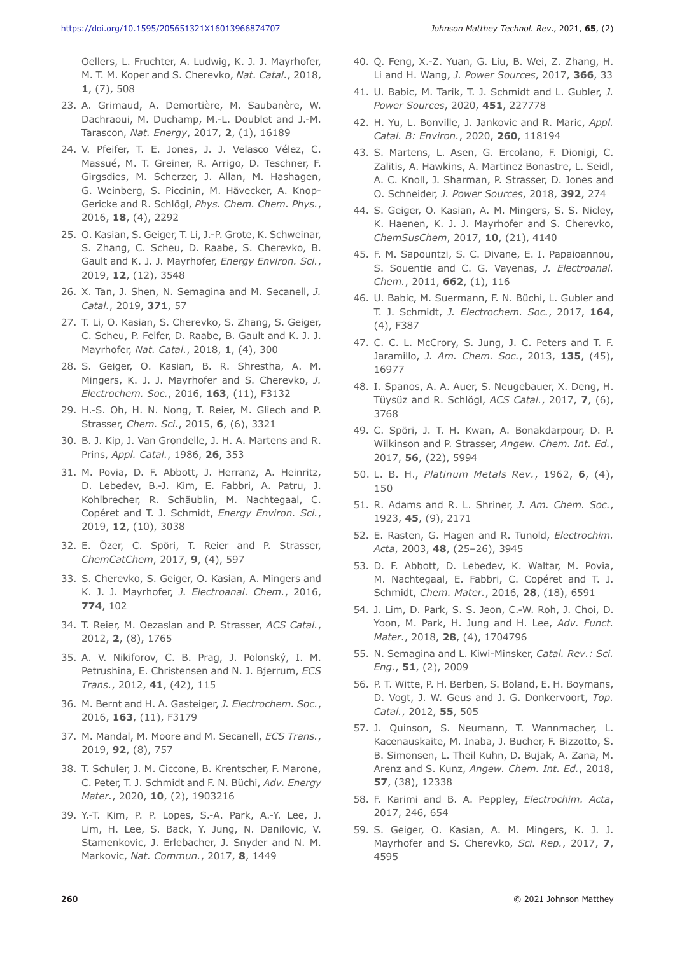Oellers, L. Fruchter, A. Ludwig, K. J. J. Mayrhofer, M. T. M. Koper and S. Cherevko, *Nat. Catal.*, 2018, **1**, (7), 508

- 23. A. Grimaud, A. Demortière, M. Saubanère, W. Dachraoui, M. Duchamp, M.-L. Doublet and J.-M. Tarascon, *Nat. Energy*, 2017, **2**, (1), 16189
- 24. V. Pfeifer, T. E. Jones, J. J. Velasco Vélez, C. Massué, M. T. Greiner, R. Arrigo, D. Teschner, F. Girgsdies, M. Scherzer, J. Allan, M. Hashagen, G. Weinberg, S. Piccinin, M. Hävecker, A. Knop-Gericke and R. Schlögl, *Phys. Chem. Chem. Phys.*, 2016, **18**, (4), 2292
- 25. O. Kasian, S. Geiger, T. Li, J.-P. Grote, K. Schweinar, S. Zhang, C. Scheu, D. Raabe, S. Cherevko, B. Gault and K. J. J. Mayrhofer, *Energy Environ. Sci.*, 2019, **12**, (12), 3548
- 26. X. Tan, J. Shen, N. Semagina and M. Secanell, *J. Catal.*, 2019, **371**, 57
- 27. T. Li, O. Kasian, S. Cherevko, S. Zhang, S. Geiger, C. Scheu, P. Felfer, D. Raabe, B. Gault and K. J. J. Mayrhofer, *Nat. Catal.*, 2018, **1**, (4), 300
- 28. S. Geiger, O. Kasian, B. R. Shrestha, A. M. Mingers, K. J. J. Mayrhofer and S. Cherevko, *J. Electrochem. Soc.*, 2016, **163**, (11), F3132
- 29. H.-S. Oh, H. N. Nong, T. Reier, M. Gliech and P. Strasser, *Chem. Sci.*, 2015, **6**, (6), 3321
- 30. B. J. Kip, J. Van Grondelle, J. H. A. Martens and R. Prins, *Appl. Catal.*, 1986, **26**, 353
- 31. M. Povia, D. F. Abbott, J. Herranz, A. Heinritz, D. Lebedev, B.-J. Kim, E. Fabbri, A. Patru, J. Kohlbrecher, R. Schäublin, M. Nachtegaal, C. Copéret and T. J. Schmidt, *Energy Environ. Sci.*, 2019, **12**, (10), 3038
- 32. E. Özer, C. Spöri, T. Reier and P. Strasser, *ChemCatChem*, 2017, **9**, (4), 597
- 33. S. Cherevko, S. Geiger, O. Kasian, A. Mingers and K. J. J. Mayrhofer, *J. Electroanal. Chem.*, 2016, **774**, 102
- 34. T. Reier, M. Oezaslan and P. Strasser, *ACS Catal.*, 2012, **2**, (8), 1765
- 35. A. V. Nikiforov, C. B. Prag, J. Polonský, I. M. Petrushina, E. Christensen and N. J. Bjerrum, *ECS Trans.*, 2012, **41**, (42), 115
- 36. M. Bernt and H. A. Gasteiger, *J. Electrochem. Soc.*, 2016, **163**, (11), F3179
- 37. M. Mandal, M. Moore and M. Secanell, *ECS Trans.*, 2019, **92**, (8), 757
- 38. T. Schuler, J. M. Ciccone, B. Krentscher, F. Marone, C. Peter, T. J. Schmidt and F. N. Büchi, *Adv. Energy Mater.*, 2020, **10**, (2), 1903216
- 39. Y.-T. Kim, P. P. Lopes, S.-A. Park, A.-Y. Lee, J. Lim, H. Lee, S. Back, Y. Jung, N. Danilovic, V. Stamenkovic, J. Erlebacher, J. Snyder and N. M. Markovic, *Nat. Commun.*, 2017, **8**, 1449
- 40. Q. Feng, X.-Z. Yuan, G. Liu, B. Wei, Z. Zhang, H. Li and H. Wang, *J. Power Sources*, 2017, **366**, 33
- 41. U. Babic, M. Tarik, T. J. Schmidt and L. Gubler, *J. Power Sources*, 2020, **451**, 227778
- 42. H. Yu, L. Bonville, J. Jankovic and R. Maric, *Appl. Catal. B: Environ.*, 2020, **260**, 118194
- 43. S. Martens, L. Asen, G. Ercolano, F. Dionigi, C. Zalitis, A. Hawkins, A. Martinez Bonastre, L. Seidl, A. C. Knoll, J. Sharman, P. Strasser, D. Jones and O. Schneider, *J. Power Sources*, 2018, **392**, 274
- 44. S. Geiger, O. Kasian, A. M. Mingers, S. S. Nicley, K. Haenen, K. J. J. Mayrhofer and S. Cherevko, *ChemSusChem*, 2017, **10**, (21), 4140
- 45. F. M. Sapountzi, S. C. Divane, E. I. Papaioannou, S. Souentie and C. G. Vayenas, *J. Electroanal. Chem.*, 2011, **662**, (1), 116
- 46. U. Babic, M. Suermann, F. N. Büchi, L. Gubler and T. J. Schmidt, *J. Electrochem. Soc.*, 2017, **164**, (4), F387
- 47. C. C. L. McCrory, S. Jung, J. C. Peters and T. F. Jaramillo, *J. Am. Chem. Soc.*, 2013, **135**, (45), 16977
- 48. I. Spanos, A. A. Auer, S. Neugebauer, X. Deng, H. Tüysüz and R. Schlögl, *ACS Catal.*, 2017, **7**, (6), 3768
- 49. C. Spöri, J. T. H. Kwan, A. Bonakdarpour, D. P. Wilkinson and P. Strasser, *Angew. Chem. Int. Ed.*, 2017, **56**, (22), 5994
- 50. L. B. H., *Platinum Metals Rev.*, 1962, **6**, (4), 150
- 51. R. Adams and R. L. Shriner, *J. Am. Chem. Soc.*, 1923, **45**, (9), 2171
- 52. E. Rasten, G. Hagen and R. Tunold, *Electrochim. Acta*, 2003, **48**, (25–26), 3945
- 53. D. F. Abbott, D. Lebedev, K. Waltar, M. Povia, M. Nachtegaal, E. Fabbri, C. Copéret and T. J. Schmidt, *Chem. Mater.*, 2016, **28**, (18), 6591
- 54. J. Lim, D. Park, S. S. Jeon, C.-W. Roh, J. Choi, D. Yoon, M. Park, H. Jung and H. Lee, *Adv. Funct. Mater.*, 2018, **28**, (4), 1704796
- 55. N. Semagina and L. Kiwi-Minsker, *Catal. Rev.: Sci. Eng.*, **51**, (2), 2009
- 56. P. T. Witte, P. H. Berben, S. Boland, E. H. Boymans, D. Vogt, J. W. Geus and J. G. Donkervoort, *Top. Catal.*, 2012, **55**, 505
- 57. J. Quinson, S. Neumann, T. Wannmacher, L. Kacenauskaite, M. Inaba, J. Bucher, F. Bizzotto, S. B. Simonsen, L. Theil Kuhn, D. Bujak, A. Zana, M. Arenz and S. Kunz, *Angew. Chem. Int. Ed.*, 2018, **57**, (38), 12338
- 58. F. Karimi and B. A. Peppley, *Electrochim. Acta*, 2017, 246, 654
- 59. S. Geiger, O. Kasian, A. M. Mingers, K. J. J. Mayrhofer and S. Cherevko, *Sci. Rep.*, 2017, **7**, 4595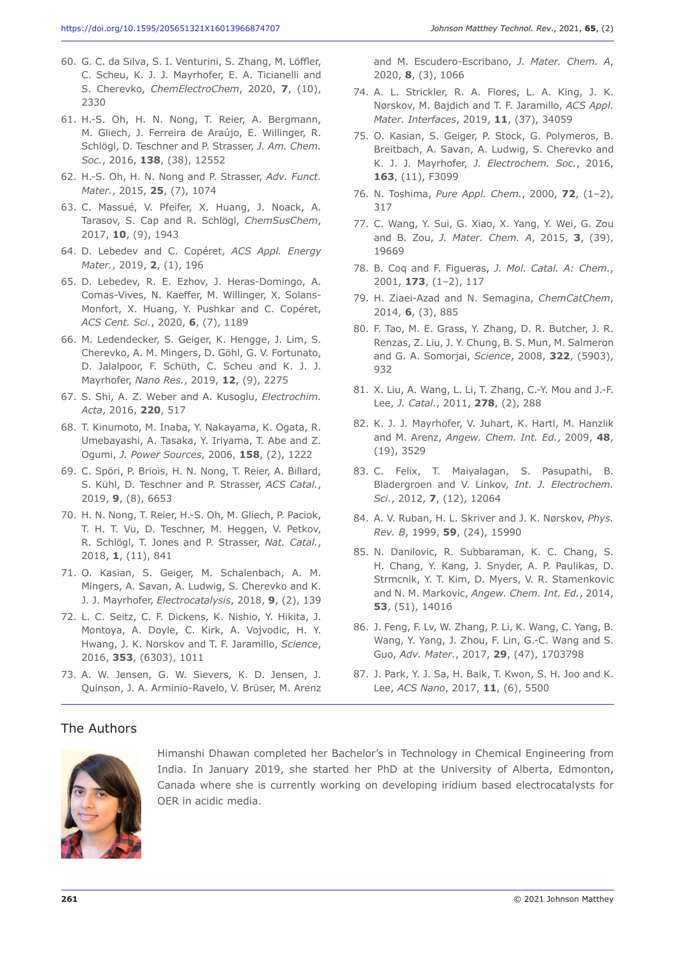- 60. G. C. da Silva, S. I. Venturini, S. Zhang, M. Löffler, C. Scheu, K. J. J. Mayrhofer, E. A. Ticianelli and S. Cherevko, *ChemElectroChem*, 2020, **7**, (10), 2330
- 61. H.-S. Oh, H. N. Nong, T. Reier, A. Bergmann, M. Gliech, J. Ferreira de Araújo, E. Willinger, R. Schlögl, D. Teschner and P. Strasser, *J. Am. Chem. Soc.*, 2016, **138**, (38), 12552
- 62. H.-S. Oh, H. N. Nong and P. Strasser, *Adv. Funct. Mater.*, 2015, **25**, (7), 1074
- 63. C. Massué, V. Pfeifer, X. Huang, J. Noack, A. Tarasov, S. Cap and R. Schlögl, *ChemSusChem*, 2017, **10**, (9), 1943
- 64. D. Lebedev and C. Copéret, *ACS Appl. Energy Mater.*, 2019, **2**, (1), 196
- 65. D. Lebedev, R. E. Ezhov, J. Heras-Domingo, A. Comas-Vives, N. Kaeffer, M. Willinger, X. Solans-Monfort, X. Huang, Y. Pushkar and C. Copéret, *ACS Cent. Sci.*, 2020, **6**, (7), 1189
- 66. M. Ledendecker, S. Geiger, K. Hengge, J. Lim, S. Cherevko, A. M. Mingers, D. Göhl, G. V. Fortunato, D. Jalalpoor, F. Schüth, C. Scheu and K. J. J. Mayrhofer, *Nano Res.*, 2019, **12**, (9), 2275
- 67. S. Shi, A. Z. Weber and A. Kusoglu, *Electrochim. Acta*, 2016, **220**, 517
- 68. T. Kinumoto, M. Inaba, Y. Nakayama, K. Ogata, R. Umebayashi, A. Tasaka, Y. Iriyama, T. Abe and Z. Ogumi, *J. Power Sources*, 2006, **158**, (2), 1222
- 69. C. Spöri, P. Briois, H. N. Nong, T. Reier, A. Billard, S. Kühl, D. Teschner and P. Strasser, *ACS Catal.*, 2019, **9**, (8), 6653
- 70. H. N. Nong, T. Reier, H.-S. Oh, M. Gliech, P. Paciok, T. H. T. Vu, D. Teschner, M. Heggen, V. Petkov, R. Schlögl, T. Jones and P. Strasser, *Nat. Catal.*, 2018, **1**, (11), 841
- 71. O. Kasian, S. Geiger, M. Schalenbach, A. M. Mingers, A. Savan, A. Ludwig, S. Cherevko and K. J. J. Mayrhofer, *Electrocatalysis*, 2018, **9**, (2), 139
- 72. L. C. Seitz, C. F. Dickens, K. Nishio, Y. Hikita, J. Montoya, A. Doyle, C. Kirk, A. Vojvodic, H. Y. Hwang, J. K. Norskov and T. F. Jaramillo, *Science*, 2016, **353**, (6303), 1011
- 73. A. W. Jensen, G. W. Sievers, K. D. Jensen, J. Quinson, J. A. Arminio-Ravelo, V. Brüser, M. Arenz

and M. Escudero-Escribano, *J. Mater. Chem. A*, 2020, **8**, (3), 1066

- 74. A. L. Strickler, R. A. Flores, L. A. King, J. K. Nørskov, M. Bajdich and T. F. Jaramillo, *ACS Appl. Mater. Interfaces*, 2019, **11**, (37), 34059
- 75. O. Kasian, S. Geiger, P. Stock, G. Polymeros, B. Breitbach, A. Savan, A. Ludwig, S. Cherevko and K. J. J. Mayrhofer, *J. Electrochem. Soc.*, 2016, **163**, (11), F3099
- 76. N. Toshima, *Pure Appl. Chem.*, 2000, **72**, (1–2), 317
- 77. C. Wang, Y. Sui, G. Xiao, X. Yang, Y. Wei, G. Zou and B. Zou, *J. Mater. Chem. A*, 2015, **3**, (39), 19669
- 78. B. Coq and F. Figueras, *J. Mol. Catal. A: Chem.*, 2001, **173**, (1–2), 117
- 79. H. Ziaei-Azad and N. Semagina, *ChemCatChem*, 2014, **6**, (3), 885
- 80. F. Tao, M. E. Grass, Y. Zhang, D. R. Butcher, J. R. Renzas, Z. Liu, J. Y. Chung, B. S. Mun, M. Salmeron and G. A. Somorjai, *Science*, 2008, **322**, (5903), 932
- 81. X. Liu, A. Wang, L. Li, T. Zhang, C.-Y. Mou and J.-F. Lee, *J. Catal.*, 2011, **278**, (2), 288
- 82. K. J. J. Mayrhofer, V. Juhart, K. Hartl, M. Hanzlik and M. Arenz, *Angew. Chem. Int. Ed.*, 2009, **48**, (19), 3529
- 83. C. Felix, T. Maiyalagan, S. Pasupathi, B. Bladergroen and V. Linkov, *Int. J. Electrochem. Sci.*, 2012, **7**, (12), 12064
- 84. A. V. Ruban, H. L. Skriver and J. K. Nørskov, *Phys. Rev. B*, 1999, **59**, (24), 15990
- 85. N. Danilovic, R. Subbaraman, K. C. Chang, S. H. Chang, Y. Kang, J. Snyder, A. P. Paulikas, D. Strmcnik, Y. T. Kim, D. Myers, V. R. Stamenkovic and N. M. Markovic, *Angew. Chem. Int. Ed.*, 2014, **53**, (51), 14016
- 86. J. Feng, F. Lv, W. Zhang, P. Li, K. Wang, C. Yang, B. Wang, Y. Yang, J. Zhou, F. Lin, G.-C. Wang and S. Guo, *Adv. Mater.*, 2017, **29**, (47), 1703798
- 87. J. Park, Y. J. Sa, H. Baik, T. Kwon, S. H. Joo and K. Lee, *ACS Nano*, 2017, **11**, (6), 5500

#### The Authors



Himanshi Dhawan completed her Bachelor's in Technology in Chemical Engineering from India. In January 2019, she started her PhD at the University of Alberta, Edmonton, Canada where she is currently working on developing iridium based electrocatalysts for OER in acidic media.